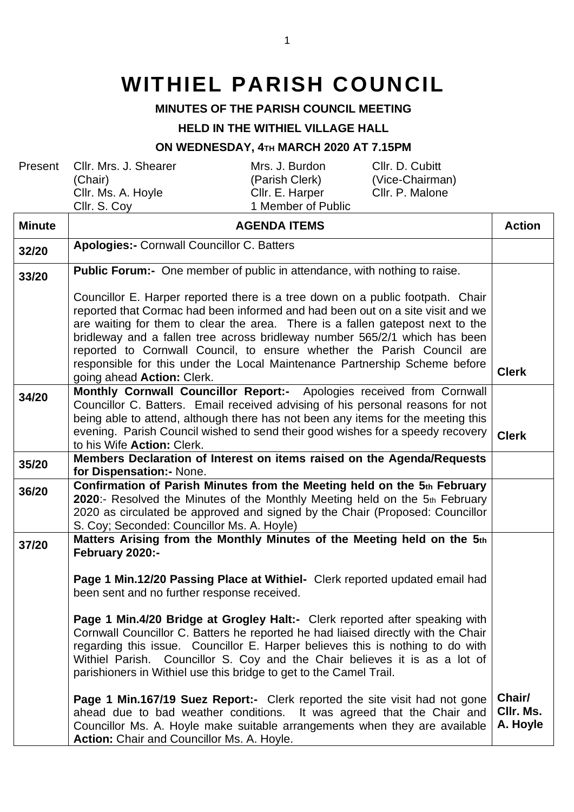## **WITHIEL PARISH COUNCIL**

## **MINUTES OF THE PARISH COUNCIL MEETING**

## **HELD IN THE WITHIEL VILLAGE HALL**

## **ON WEDNESDAY, 4TH MARCH 2020 AT 7.15PM**

| Present | Cllr. Mrs. J. Shearer<br>(Chair)<br>Cllr. Ms. A. Hoyle<br>CIIr. S. Cov | Mrs. J. Burdon<br>(Parish Clerk)<br>Cllr. E. Harper<br>1 Member of Public | Cllr. D. Cubitt<br>(Vice-Chairman)<br>Cllr. P. Malone |
|---------|------------------------------------------------------------------------|---------------------------------------------------------------------------|-------------------------------------------------------|
|         |                                                                        |                                                                           |                                                       |

| <b>Minute</b> | <b>AGENDA ITEMS</b>                                                                                                                                                                                                                                                                                                                                                                                                                                                                                                           | <b>Action</b>                   |
|---------------|-------------------------------------------------------------------------------------------------------------------------------------------------------------------------------------------------------------------------------------------------------------------------------------------------------------------------------------------------------------------------------------------------------------------------------------------------------------------------------------------------------------------------------|---------------------------------|
| 32/20         | <b>Apologies:- Cornwall Councillor C. Batters</b>                                                                                                                                                                                                                                                                                                                                                                                                                                                                             |                                 |
| 33/20         | <b>Public Forum:-</b> One member of public in attendance, with nothing to raise.                                                                                                                                                                                                                                                                                                                                                                                                                                              |                                 |
|               | Councillor E. Harper reported there is a tree down on a public footpath. Chair<br>reported that Cormac had been informed and had been out on a site visit and we<br>are waiting for them to clear the area. There is a fallen gatepost next to the<br>bridleway and a fallen tree across bridleway number 565/2/1 which has been<br>reported to Cornwall Council, to ensure whether the Parish Council are<br>responsible for this under the Local Maintenance Partnership Scheme before<br>going ahead <b>Action:</b> Clerk. | <b>Clerk</b>                    |
| 34/20         | Monthly Cornwall Councillor Report:- Apologies received from Cornwall<br>Councillor C. Batters. Email received advising of his personal reasons for not<br>being able to attend, although there has not been any items for the meeting this<br>evening. Parish Council wished to send their good wishes for a speedy recovery<br>to his Wife Action: Clerk.                                                                                                                                                                   | <b>Clerk</b>                    |
| 35/20         | Members Declaration of Interest on items raised on the Agenda/Requests<br>for Dispensation: - None.                                                                                                                                                                                                                                                                                                                                                                                                                           |                                 |
| 36/20         | Confirmation of Parish Minutes from the Meeting held on the 5th February<br>2020:- Resolved the Minutes of the Monthly Meeting held on the 5th February<br>2020 as circulated be approved and signed by the Chair (Proposed: Councillor<br>S. Coy; Seconded: Councillor Ms. A. Hoyle)                                                                                                                                                                                                                                         |                                 |
| 37/20         | Matters Arising from the Monthly Minutes of the Meeting held on the 5th<br>February 2020:-                                                                                                                                                                                                                                                                                                                                                                                                                                    |                                 |
|               | Page 1 Min.12/20 Passing Place at Withiel- Clerk reported updated email had<br>been sent and no further response received.                                                                                                                                                                                                                                                                                                                                                                                                    |                                 |
|               | Page 1 Min.4/20 Bridge at Grogley Halt:- Clerk reported after speaking with<br>Cornwall Councillor C. Batters he reported he had liaised directly with the Chair<br>regarding this issue. Councillor E. Harper believes this is nothing to do with<br>Withiel Parish. Councillor S. Coy and the Chair believes it is as a lot of<br>parishioners in Withiel use this bridge to get to the Camel Trail.                                                                                                                        |                                 |
|               | <b>Page 1 Min.167/19 Suez Report:-</b> Clerk reported the site visit had not gone<br>ahead due to bad weather conditions. It was agreed that the Chair and<br>Councillor Ms. A. Hoyle make suitable arrangements when they are available<br>Action: Chair and Councillor Ms. A. Hoyle.                                                                                                                                                                                                                                        | Chair/<br>CIIr. Ms.<br>A. Hoyle |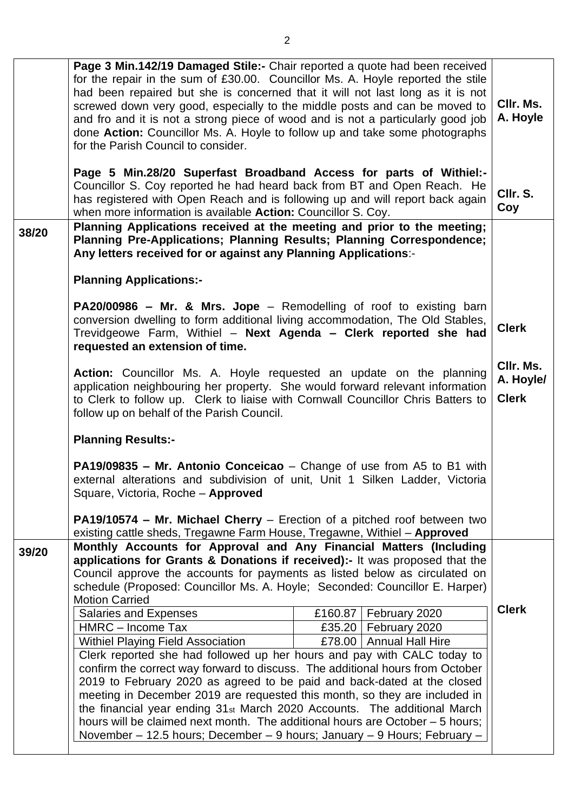|       | Page 3 Min.142/19 Damaged Stile:- Chair reported a quote had been received<br>for the repair in the sum of £30.00. Councillor Ms. A. Hoyle reported the stile<br>had been repaired but she is concerned that it will not last long as it is not<br>screwed down very good, especially to the middle posts and can be moved to<br>and fro and it is not a strong piece of wood and is not a particularly good job<br>done Action: Councillor Ms. A. Hoyle to follow up and take some photographs<br>for the Parish Council to consider.<br>Page 5 Min.28/20 Superfast Broadband Access for parts of Withiel:- |  |                         | CIIr. Ms.<br>A. Hoyle                  |
|-------|--------------------------------------------------------------------------------------------------------------------------------------------------------------------------------------------------------------------------------------------------------------------------------------------------------------------------------------------------------------------------------------------------------------------------------------------------------------------------------------------------------------------------------------------------------------------------------------------------------------|--|-------------------------|----------------------------------------|
|       | Councillor S. Coy reported he had heard back from BT and Open Reach. He<br>has registered with Open Reach and is following up and will report back again<br>when more information is available <b>Action:</b> Councillor S. Coy.                                                                                                                                                                                                                                                                                                                                                                             |  |                         | CIIr. S.<br>Coy                        |
| 38/20 | Planning Applications received at the meeting and prior to the meeting;<br>Planning Pre-Applications; Planning Results; Planning Correspondence;<br>Any letters received for or against any Planning Applications:-                                                                                                                                                                                                                                                                                                                                                                                          |  |                         |                                        |
|       | <b>Planning Applications:-</b>                                                                                                                                                                                                                                                                                                                                                                                                                                                                                                                                                                               |  |                         |                                        |
|       | PA20/00986 - Mr. & Mrs. Jope - Remodelling of roof to existing barn<br>conversion dwelling to form additional living accommodation, The Old Stables,<br>Trevidgeowe Farm, Withiel - Next Agenda - Clerk reported she had<br>requested an extension of time.                                                                                                                                                                                                                                                                                                                                                  |  |                         | <b>Clerk</b>                           |
|       | Action: Councillor Ms. A. Hoyle requested an update on the planning<br>application neighbouring her property. She would forward relevant information<br>to Clerk to follow up. Clerk to liaise with Cornwall Councillor Chris Batters to<br>follow up on behalf of the Parish Council.                                                                                                                                                                                                                                                                                                                       |  |                         | CIIr. Ms.<br>A. Hoyle/<br><b>Clerk</b> |
|       | <b>Planning Results:-</b>                                                                                                                                                                                                                                                                                                                                                                                                                                                                                                                                                                                    |  |                         |                                        |
|       | <b>PA19/09835 - Mr. Antonio Conceicao</b> - Change of use from A5 to B1 with<br>external alterations and subdivision of unit, Unit 1 Silken Ladder, Victoria<br>Square, Victoria, Roche - Approved                                                                                                                                                                                                                                                                                                                                                                                                           |  |                         |                                        |
|       | <b>PA19/10574 - Mr. Michael Cherry</b> - Erection of a pitched roof between two<br>existing cattle sheds, Tregawne Farm House, Tregawne, Withiel - Approved                                                                                                                                                                                                                                                                                                                                                                                                                                                  |  |                         |                                        |
| 39/20 | Monthly Accounts for Approval and Any Financial Matters (Including                                                                                                                                                                                                                                                                                                                                                                                                                                                                                                                                           |  |                         |                                        |
|       | applications for Grants & Donations if received):- It was proposed that the<br>Council approve the accounts for payments as listed below as circulated on<br>schedule (Proposed: Councillor Ms. A. Hoyle; Seconded: Councillor E. Harper)<br><b>Motion Carried</b>                                                                                                                                                                                                                                                                                                                                           |  |                         |                                        |
|       | Salaries and Expenses                                                                                                                                                                                                                                                                                                                                                                                                                                                                                                                                                                                        |  | £160.87   February 2020 | <b>Clerk</b>                           |
|       | HMRC - Income Tax                                                                                                                                                                                                                                                                                                                                                                                                                                                                                                                                                                                            |  | £35.20   February 2020  |                                        |
|       | Withiel Playing Field Association<br>£78.00   Annual Hall Hire<br>Clerk reported she had followed up her hours and pay with CALC today to<br>confirm the correct way forward to discuss. The additional hours from October<br>2019 to February 2020 as agreed to be paid and back-dated at the closed<br>meeting in December 2019 are requested this month, so they are included in<br>the financial year ending 31st March 2020 Accounts. The additional March<br>hours will be claimed next month. The additional hours are October – 5 hours;                                                             |  |                         |                                        |
|       | November - 12.5 hours; December - 9 hours; January - 9 Hours; February -                                                                                                                                                                                                                                                                                                                                                                                                                                                                                                                                     |  |                         |                                        |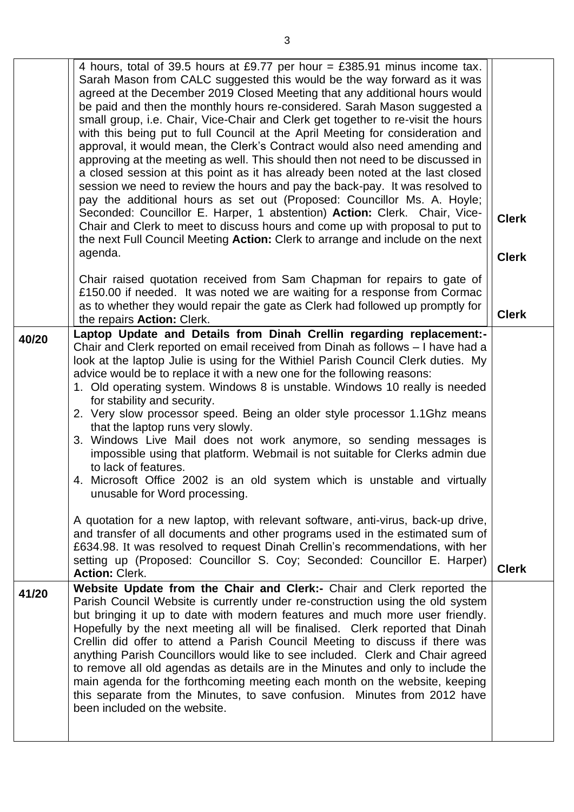|       | 4 hours, total of 39.5 hours at £9.77 per hour = £385.91 minus income tax.<br>Sarah Mason from CALC suggested this would be the way forward as it was<br>agreed at the December 2019 Closed Meeting that any additional hours would<br>be paid and then the monthly hours re-considered. Sarah Mason suggested a<br>small group, i.e. Chair, Vice-Chair and Clerk get together to re-visit the hours<br>with this being put to full Council at the April Meeting for consideration and<br>approval, it would mean, the Clerk's Contract would also need amending and<br>approving at the meeting as well. This should then not need to be discussed in<br>a closed session at this point as it has already been noted at the last closed<br>session we need to review the hours and pay the back-pay. It was resolved to<br>pay the additional hours as set out (Proposed: Councillor Ms. A. Hoyle;<br>Seconded: Councillor E. Harper, 1 abstention) Action: Clerk. Chair, Vice-<br>Chair and Clerk to meet to discuss hours and come up with proposal to put to<br>the next Full Council Meeting Action: Clerk to arrange and include on the next<br>agenda.                                                  | <b>Clerk</b><br><b>Clerk</b> |
|-------|----------------------------------------------------------------------------------------------------------------------------------------------------------------------------------------------------------------------------------------------------------------------------------------------------------------------------------------------------------------------------------------------------------------------------------------------------------------------------------------------------------------------------------------------------------------------------------------------------------------------------------------------------------------------------------------------------------------------------------------------------------------------------------------------------------------------------------------------------------------------------------------------------------------------------------------------------------------------------------------------------------------------------------------------------------------------------------------------------------------------------------------------------------------------------------------------------------------|------------------------------|
|       | Chair raised quotation received from Sam Chapman for repairs to gate of<br>£150.00 if needed. It was noted we are waiting for a response from Cormac<br>as to whether they would repair the gate as Clerk had followed up promptly for<br>the repairs Action: Clerk.                                                                                                                                                                                                                                                                                                                                                                                                                                                                                                                                                                                                                                                                                                                                                                                                                                                                                                                                           | <b>Clerk</b>                 |
| 40/20 | Laptop Update and Details from Dinah Crellin regarding replacement:-<br>Chair and Clerk reported on email received from Dinah as follows - I have had a<br>look at the laptop Julie is using for the Withiel Parish Council Clerk duties. My<br>advice would be to replace it with a new one for the following reasons:<br>1. Old operating system. Windows 8 is unstable. Windows 10 really is needed<br>for stability and security.<br>2. Very slow processor speed. Being an older style processor 1.1Ghz means<br>that the laptop runs very slowly.<br>3. Windows Live Mail does not work anymore, so sending messages is<br>impossible using that platform. Webmail is not suitable for Clerks admin due<br>to lack of features.<br>4. Microsoft Office 2002 is an old system which is unstable and virtually<br>unusable for Word processing.<br>A quotation for a new laptop, with relevant software, anti-virus, back-up drive,<br>and transfer of all documents and other programs used in the estimated sum of<br>£634.98. It was resolved to request Dinah Crellin's recommendations, with her<br>setting up (Proposed: Councillor S. Coy; Seconded: Councillor E. Harper)<br><b>Action: Clerk.</b> | <b>Clerk</b>                 |
| 41/20 | Website Update from the Chair and Clerk:- Chair and Clerk reported the<br>Parish Council Website is currently under re-construction using the old system<br>but bringing it up to date with modern features and much more user friendly.<br>Hopefully by the next meeting all will be finalised. Clerk reported that Dinah<br>Crellin did offer to attend a Parish Council Meeting to discuss if there was<br>anything Parish Councillors would like to see included. Clerk and Chair agreed<br>to remove all old agendas as details are in the Minutes and only to include the<br>main agenda for the forthcoming meeting each month on the website, keeping<br>this separate from the Minutes, to save confusion. Minutes from 2012 have<br>been included on the website.                                                                                                                                                                                                                                                                                                                                                                                                                                    |                              |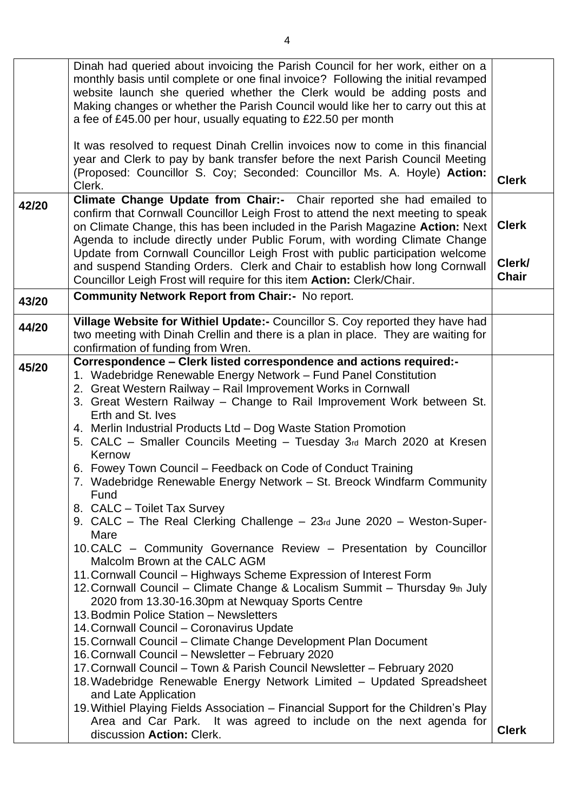|       | Dinah had queried about invoicing the Parish Council for her work, either on a                                                                              |              |
|-------|-------------------------------------------------------------------------------------------------------------------------------------------------------------|--------------|
|       | monthly basis until complete or one final invoice? Following the initial revamped<br>website launch she queried whether the Clerk would be adding posts and |              |
|       | Making changes or whether the Parish Council would like her to carry out this at                                                                            |              |
|       | a fee of £45.00 per hour, usually equating to £22.50 per month                                                                                              |              |
|       | It was resolved to request Dinah Crellin invoices now to come in this financial                                                                             |              |
|       | year and Clerk to pay by bank transfer before the next Parish Council Meeting                                                                               |              |
|       | (Proposed: Councillor S. Coy; Seconded: Councillor Ms. A. Hoyle) Action:                                                                                    |              |
|       | Clerk.                                                                                                                                                      | <b>Clerk</b> |
| 42/20 | Climate Change Update from Chair:- Chair reported she had emailed to                                                                                        |              |
|       | confirm that Cornwall Councillor Leigh Frost to attend the next meeting to speak                                                                            |              |
|       | on Climate Change, this has been included in the Parish Magazine Action: Next                                                                               | <b>Clerk</b> |
|       | Agenda to include directly under Public Forum, with wording Climate Change<br>Update from Cornwall Councillor Leigh Frost with public participation welcome |              |
|       | and suspend Standing Orders. Clerk and Chair to establish how long Cornwall                                                                                 | Clerk/       |
|       | Councillor Leigh Frost will require for this item Action: Clerk/Chair.                                                                                      | <b>Chair</b> |
| 43/20 | <b>Community Network Report from Chair:- No report.</b>                                                                                                     |              |
|       |                                                                                                                                                             |              |
| 44/20 | Village Website for Withiel Update:- Councillor S. Coy reported they have had                                                                               |              |
|       | two meeting with Dinah Crellin and there is a plan in place. They are waiting for<br>confirmation of funding from Wren.                                     |              |
|       | Correspondence - Clerk listed correspondence and actions required:-                                                                                         |              |
| 45/20 | 1. Wadebridge Renewable Energy Network - Fund Panel Constitution                                                                                            |              |
|       | 2. Great Western Railway - Rail Improvement Works in Cornwall                                                                                               |              |
|       | 3. Great Western Railway – Change to Rail Improvement Work between St.                                                                                      |              |
|       | Erth and St. Ives                                                                                                                                           |              |
|       | 4. Merlin Industrial Products Ltd - Dog Waste Station Promotion                                                                                             |              |
|       | 5. CALC – Smaller Councils Meeting – Tuesday 3rd March 2020 at Kresen<br>Kernow                                                                             |              |
|       | 6. Fowey Town Council – Feedback on Code of Conduct Training                                                                                                |              |
|       | 7. Wadebridge Renewable Energy Network - St. Breock Windfarm Community                                                                                      |              |
|       | Fund                                                                                                                                                        |              |
|       | 8. CALC - Toilet Tax Survey                                                                                                                                 |              |
|       | 9. CALC – The Real Clerking Challenge – 23rd June 2020 – Weston-Super-<br>Mare                                                                              |              |
|       | 10. CALC - Community Governance Review - Presentation by Councillor                                                                                         |              |
|       | Malcolm Brown at the CALC AGM                                                                                                                               |              |
|       | 11. Cornwall Council – Highways Scheme Expression of Interest Form                                                                                          |              |
|       | 12. Cornwall Council - Climate Change & Localism Summit - Thursday 9th July                                                                                 |              |
|       | 2020 from 13.30-16.30pm at Newquay Sports Centre                                                                                                            |              |
|       | 13. Bodmin Police Station - Newsletters<br>14. Cornwall Council - Coronavirus Update                                                                        |              |
|       | 15. Cornwall Council – Climate Change Development Plan Document                                                                                             |              |
|       | 16. Cornwall Council - Newsletter - February 2020                                                                                                           |              |
|       | 17. Cornwall Council – Town & Parish Council Newsletter – February 2020                                                                                     |              |
|       | 18. Wadebridge Renewable Energy Network Limited - Updated Spreadsheet                                                                                       |              |
|       | and Late Application                                                                                                                                        |              |
|       |                                                                                                                                                             |              |
|       |                                                                                                                                                             | <b>Clerk</b> |
|       | 19. Withiel Playing Fields Association - Financial Support for the Children's Play<br>Area and Car Park. It was agreed to include on the next agenda for    |              |
|       | discussion Action: Clerk.                                                                                                                                   |              |